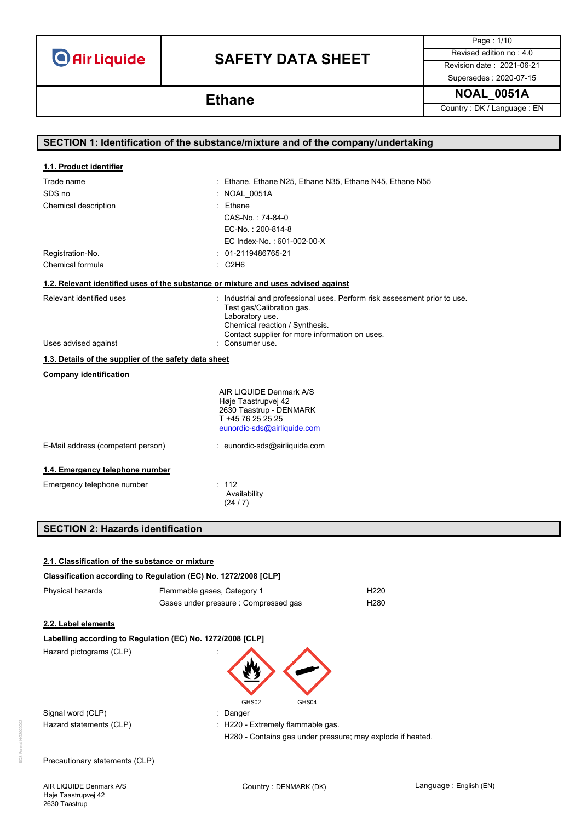# **SAFETY DATA SHEET** Revised edition no : 4.0

Page : 1/10

Supersedes : 2020-07-15

**NOAL\_0051A Ethane**

Country : DK / Language : EN

|                                                                                    | SECTION 1: Identification of the substance/mixture and of the company/undertaking                                                                                                                             |
|------------------------------------------------------------------------------------|---------------------------------------------------------------------------------------------------------------------------------------------------------------------------------------------------------------|
|                                                                                    |                                                                                                                                                                                                               |
| 1.1. Product identifier                                                            |                                                                                                                                                                                                               |
| Trade name                                                                         | : Ethane, Ethane N25, Ethane N35, Ethane N45, Ethane N55                                                                                                                                                      |
| SDS no                                                                             | : NOAL 0051A                                                                                                                                                                                                  |
| Chemical description                                                               | $:$ Ethane                                                                                                                                                                                                    |
|                                                                                    | CAS-No.: 74-84-0                                                                                                                                                                                              |
|                                                                                    | EC-No.: 200-814-8                                                                                                                                                                                             |
|                                                                                    | EC Index-No.: 601-002-00-X                                                                                                                                                                                    |
| Registration-No.                                                                   | $: 01-2119486765-21$                                                                                                                                                                                          |
| Chemical formula                                                                   | $\therefore$ C2H6                                                                                                                                                                                             |
| 1.2. Relevant identified uses of the substance or mixture and uses advised against |                                                                                                                                                                                                               |
| Relevant identified uses                                                           | : Industrial and professional uses. Perform risk assessment prior to use.<br>Test gas/Calibration gas.<br>Laboratory use.<br>Chemical reaction / Synthesis.<br>Contact supplier for more information on uses. |
| Uses advised against                                                               | : Consumer use.                                                                                                                                                                                               |
| 1.3. Details of the supplier of the safety data sheet                              |                                                                                                                                                                                                               |
| <b>Company identification</b>                                                      |                                                                                                                                                                                                               |
|                                                                                    | AIR LIQUIDE Denmark A/S<br>Høje Taastrupvej 42<br>2630 Taastrup - DENMARK<br>T +45 76 25 25 25<br>eunordic-sds@airliquide.com                                                                                 |
| E-Mail address (competent person)                                                  | : eunordic-sds@airliquide.com                                                                                                                                                                                 |
| 1.4. Emergency telephone number                                                    |                                                                                                                                                                                                               |
| Emergency telephone number                                                         | : 112<br>Availability<br>(24/7)                                                                                                                                                                               |

## **SECTION 2: Hazards identification**

| 2.1. Classification of the substance or mixture                 |                                                            |  |  |  |
|-----------------------------------------------------------------|------------------------------------------------------------|--|--|--|
| Classification according to Regulation (EC) No. 1272/2008 [CLP] |                                                            |  |  |  |
| Physical hazards                                                | Flammable gases, Category 1<br>H <sub>220</sub>            |  |  |  |
|                                                                 | Gases under pressure : Compressed gas<br>H <sub>280</sub>  |  |  |  |
| 2.2. Label elements                                             |                                                            |  |  |  |
| Labelling according to Regulation (EC) No. 1272/2008 [CLP]      |                                                            |  |  |  |
| Hazard pictograms (CLP)                                         | GHS02<br>GHS04                                             |  |  |  |
| Signal word (CLP)                                               | Danger                                                     |  |  |  |
| Hazard statements (CLP)                                         | : H220 - Extremely flammable gas.                          |  |  |  |
|                                                                 | H280 - Contains gas under pressure; may explode if heated. |  |  |  |
| Precautionary statements (CLP)                                  |                                                            |  |  |  |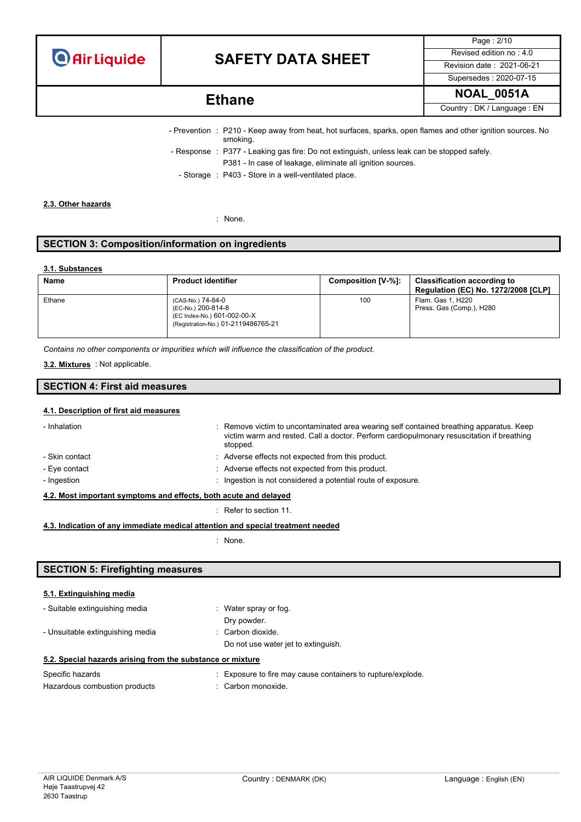

## **SAFETY DATA SHEET** Revised edition no : 4.0

Page : 2/10 Supersedes : 2020-07-15

## **NOAL\_0051A Ethane**

Country : DK / Language : EN

- Prevention : P210 Keep away from heat, hot surfaces, sparks, open flames and other ignition sources. No smoking. - Response : P377 - Leaking gas fire: Do not extinguish, unless leak can be stopped safely. P381 - In case of leakage, eliminate all ignition sources.
	- Storage : P403 Store in a well-ventilated place.

#### **2.3. Other hazards**

: None.

### **SECTION 3: Composition/information on ingredients**

#### **3.1. Substances**

| <b>Name</b> | <b>Product identifier</b>                                                                                     | Composition [V-%]: | <b>Classification according to</b><br><b>Regulation (EC) No. 1272/2008 [CLP]</b> |
|-------------|---------------------------------------------------------------------------------------------------------------|--------------------|----------------------------------------------------------------------------------|
| Ethane      | (CAS-No.) 74-84-0<br>(EC-No.) 200-814-8<br>(EC Index-No.) 601-002-00-X<br>(Registration-No.) 01-2119486765-21 | 100                | Flam. Gas 1, H220<br>Press. Gas (Comp.), H280                                    |

*Contains no other components or impurities which will influence the classification of the product.*

#### : Not applicable. **3.2. Mixtures**

#### **SECTION 4: First aid measures**

#### **4.1. Description of first aid measures**

| - Inhalation                                                     |  | : Remove victim to uncontaminated area wearing self contained breathing apparatus. Keep<br>victim warm and rested. Call a doctor. Perform cardiopulmonary resuscitation if breathing<br>stopped. |  |
|------------------------------------------------------------------|--|--------------------------------------------------------------------------------------------------------------------------------------------------------------------------------------------------|--|
| - Skin contact                                                   |  | : Adverse effects not expected from this product.                                                                                                                                                |  |
| - Eye contact                                                    |  | : Adverse effects not expected from this product.                                                                                                                                                |  |
| - Ingestion                                                      |  | : Ingestion is not considered a potential route of exposure.                                                                                                                                     |  |
| 4.2. Most important symptoms and effects, both acute and delayed |  |                                                                                                                                                                                                  |  |

: Refer to section 11.

#### **4.3. Indication of any immediate medical attention and special treatment needed**

: None.

### **SECTION 5: Firefighting measures**

#### **5.1. Extinguishing media**

| - Suitable extinguishing media                             | $\therefore$ Water spray or fog.    |  |  |  |
|------------------------------------------------------------|-------------------------------------|--|--|--|
|                                                            | Dry powder.                         |  |  |  |
| - Unsuitable extinguishing media                           | : Carbon dioxide.                   |  |  |  |
|                                                            | Do not use water jet to extinguish. |  |  |  |
| 5.2. Special hazards arising from the substance or mixture |                                     |  |  |  |
|                                                            |                                     |  |  |  |

| Specific hazards              | Exposure to fire may cause containers to rupture/explode. |
|-------------------------------|-----------------------------------------------------------|
| Hazardous combustion products | : Carbon monoxide.                                        |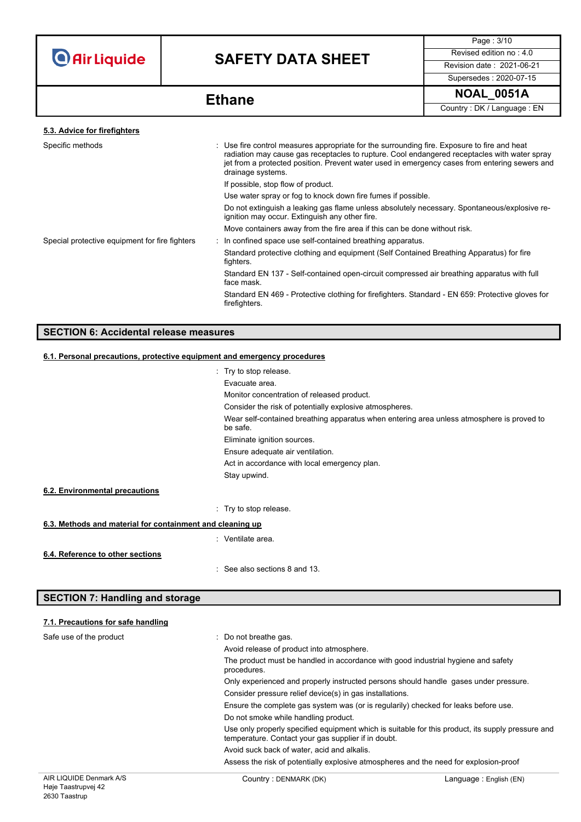# **SAFETY DATA SHEET** Revised edition no : 4.0

Page : 3/10 Supersedes : 2020-07-15

**NOAL\_0051A Ethane**

Country : DK / Language : EN

| 5.3. Advice for firefighters                   |                                                                                                                                                                                                                                                                                                                   |  |
|------------------------------------------------|-------------------------------------------------------------------------------------------------------------------------------------------------------------------------------------------------------------------------------------------------------------------------------------------------------------------|--|
| Specific methods                               | : Use fire control measures appropriate for the surrounding fire. Exposure to fire and heat<br>radiation may cause gas receptacles to rupture. Cool endangered receptacles with water spray<br>jet from a protected position. Prevent water used in emergency cases from entering sewers and<br>drainage systems. |  |
|                                                | If possible, stop flow of product.                                                                                                                                                                                                                                                                                |  |
|                                                | Use water spray or fog to knock down fire fumes if possible.                                                                                                                                                                                                                                                      |  |
|                                                | Do not extinguish a leaking gas flame unless absolutely necessary. Spontaneous/explosive re-<br>ignition may occur. Extinguish any other fire.                                                                                                                                                                    |  |
|                                                | Move containers away from the fire area if this can be done without risk.                                                                                                                                                                                                                                         |  |
| Special protective equipment for fire fighters | : In confined space use self-contained breathing apparatus.                                                                                                                                                                                                                                                       |  |
|                                                | Standard protective clothing and equipment (Self Contained Breathing Apparatus) for fire<br>fighters.                                                                                                                                                                                                             |  |
|                                                | Standard EN 137 - Self-contained open-circuit compressed air breathing apparatus with full<br>face mask.                                                                                                                                                                                                          |  |
|                                                | Standard EN 469 - Protective clothing for firefighters. Standard - EN 659: Protective gloves for<br>firefighters.                                                                                                                                                                                                 |  |
|                                                |                                                                                                                                                                                                                                                                                                                   |  |

### **SECTION 6: Accidental release measures**

### **6.1. Personal precautions, protective equipment and emergency procedures**

|                                                           | : Try to stop release.                                                                                |
|-----------------------------------------------------------|-------------------------------------------------------------------------------------------------------|
|                                                           | Evacuate area.                                                                                        |
|                                                           | Monitor concentration of released product.                                                            |
|                                                           | Consider the risk of potentially explosive atmospheres.                                               |
|                                                           | Wear self-contained breathing apparatus when entering area unless atmosphere is proved to<br>be safe. |
|                                                           | Eliminate ignition sources.                                                                           |
|                                                           | Ensure adequate air ventilation.                                                                      |
|                                                           | Act in accordance with local emergency plan.                                                          |
|                                                           | Stay upwind.                                                                                          |
| 6.2. Environmental precautions                            |                                                                                                       |
|                                                           | : Try to stop release.                                                                                |
| 6.3. Methods and material for containment and cleaning up |                                                                                                       |
|                                                           | : Ventilate area.                                                                                     |
| 6.4. Reference to other sections                          |                                                                                                       |
|                                                           | : See also sections 8 and 13.                                                                         |

### **SECTION 7: Handling and storage**

### **7.1. Precautions for safe handling**

| AIR LIQUIDE Denmark A/S | Country: DENMARK (DK)                                                                                                       | Language: English (EN)                                                                            |  |  |  |                                                          |
|-------------------------|-----------------------------------------------------------------------------------------------------------------------------|---------------------------------------------------------------------------------------------------|--|--|--|----------------------------------------------------------|
|                         |                                                                                                                             | Assess the risk of potentially explosive atmospheres and the need for explosion-proof             |  |  |  |                                                          |
|                         | Avoid suck back of water, acid and alkalis.                                                                                 |                                                                                                   |  |  |  |                                                          |
|                         | temperature. Contact your gas supplier if in doubt.                                                                         | Use only properly specified equipment which is suitable for this product, its supply pressure and |  |  |  |                                                          |
|                         | Ensure the complete gas system was (or is regularily) checked for leaks before use.<br>Do not smoke while handling product. |                                                                                                   |  |  |  |                                                          |
|                         |                                                                                                                             |                                                                                                   |  |  |  | Consider pressure relief device(s) in gas installations. |
|                         | Only experienced and properly instructed persons should handle gases under pressure.                                        |                                                                                                   |  |  |  |                                                          |
|                         |                                                                                                                             | The product must be handled in accordance with good industrial hygiene and safety<br>procedures.  |  |  |  |                                                          |
|                         | Avoid release of product into atmosphere.                                                                                   |                                                                                                   |  |  |  |                                                          |
| Safe use of the product | $\therefore$ Do not breathe gas.                                                                                            |                                                                                                   |  |  |  |                                                          |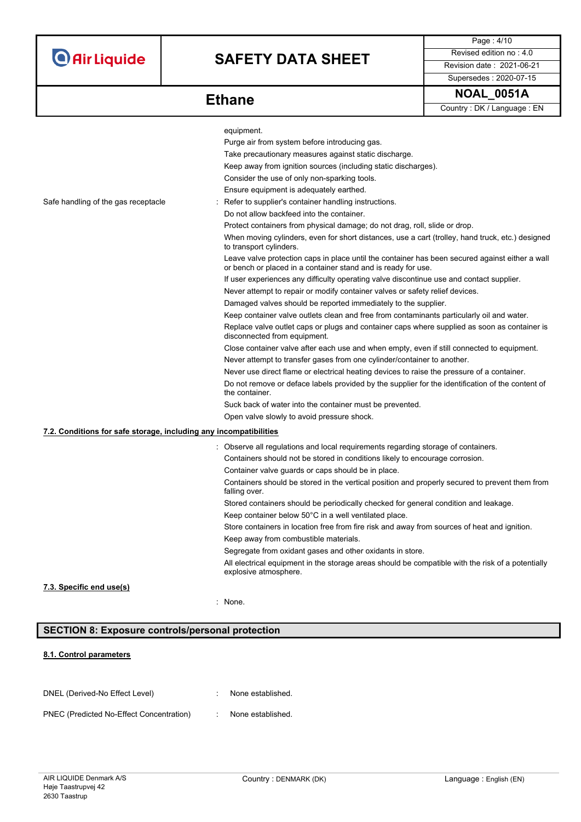# **SAFETY DATA SHEET** Revised edition no : 4.0

Supersedes : 2020-07-15

Page : 4/10

**Ethane** 

| <b>NOAL</b> | 0051A |
|-------------|-------|
|             |       |

Country : DK / Language : EN

|                                                                   | equipment.                                                                                                                                                       |
|-------------------------------------------------------------------|------------------------------------------------------------------------------------------------------------------------------------------------------------------|
|                                                                   | Purge air from system before introducing gas.                                                                                                                    |
|                                                                   | Take precautionary measures against static discharge.                                                                                                            |
|                                                                   | Keep away from ignition sources (including static discharges).                                                                                                   |
|                                                                   | Consider the use of only non-sparking tools.                                                                                                                     |
|                                                                   | Ensure equipment is adequately earthed.                                                                                                                          |
| Safe handling of the gas receptacle                               | Refer to supplier's container handling instructions.                                                                                                             |
|                                                                   | Do not allow backfeed into the container.                                                                                                                        |
|                                                                   | Protect containers from physical damage; do not drag, roll, slide or drop.                                                                                       |
|                                                                   | When moving cylinders, even for short distances, use a cart (trolley, hand truck, etc.) designed<br>to transport cylinders.                                      |
|                                                                   | Leave valve protection caps in place until the container has been secured against either a wall<br>or bench or placed in a container stand and is ready for use. |
|                                                                   | If user experiences any difficulty operating valve discontinue use and contact supplier.                                                                         |
|                                                                   | Never attempt to repair or modify container valves or safety relief devices.                                                                                     |
|                                                                   | Damaged valves should be reported immediately to the supplier.                                                                                                   |
|                                                                   | Keep container valve outlets clean and free from contaminants particularly oil and water.                                                                        |
|                                                                   | Replace valve outlet caps or plugs and container caps where supplied as soon as container is<br>disconnected from equipment.                                     |
|                                                                   | Close container valve after each use and when empty, even if still connected to equipment.                                                                       |
|                                                                   | Never attempt to transfer gases from one cylinder/container to another.                                                                                          |
|                                                                   | Never use direct flame or electrical heating devices to raise the pressure of a container.                                                                       |
|                                                                   | Do not remove or deface labels provided by the supplier for the identification of the content of<br>the container.                                               |
|                                                                   | Suck back of water into the container must be prevented.                                                                                                         |
|                                                                   | Open valve slowly to avoid pressure shock.                                                                                                                       |
| 7.2. Conditions for safe storage, including any incompatibilities |                                                                                                                                                                  |
|                                                                   | : Observe all regulations and local requirements regarding storage of containers.                                                                                |
|                                                                   | Containers should not be stored in conditions likely to encourage corrosion.                                                                                     |
|                                                                   | Container valve guards or caps should be in place.                                                                                                               |
|                                                                   | Containers should be stored in the vertical position and properly secured to prevent them from<br>falling over.                                                  |
|                                                                   | Stored containers should be periodically checked for general condition and leakage.                                                                              |
|                                                                   | Keep container below 50°C in a well ventilated place.                                                                                                            |
|                                                                   | Store containers in location free from fire risk and away from sources of heat and ignition.                                                                     |
|                                                                   | Keep away from combustible materials.                                                                                                                            |
|                                                                   | Segregate from oxidant gases and other oxidants in store.                                                                                                        |
|                                                                   | All electrical equipment in the storage areas should be compatible with the risk of a potentially                                                                |
|                                                                   | explosive atmosphere.                                                                                                                                            |
| 7.3. Specific end use(s)                                          |                                                                                                                                                                  |
|                                                                   | : None.                                                                                                                                                          |
|                                                                   |                                                                                                                                                                  |

### **SECTION 8: Exposure controls/personal protection**

#### **8.1. Control parameters**

| DNEL (Derived-No Effect Level)           | None established. |
|------------------------------------------|-------------------|
| PNEC (Predicted No-Effect Concentration) | None established. |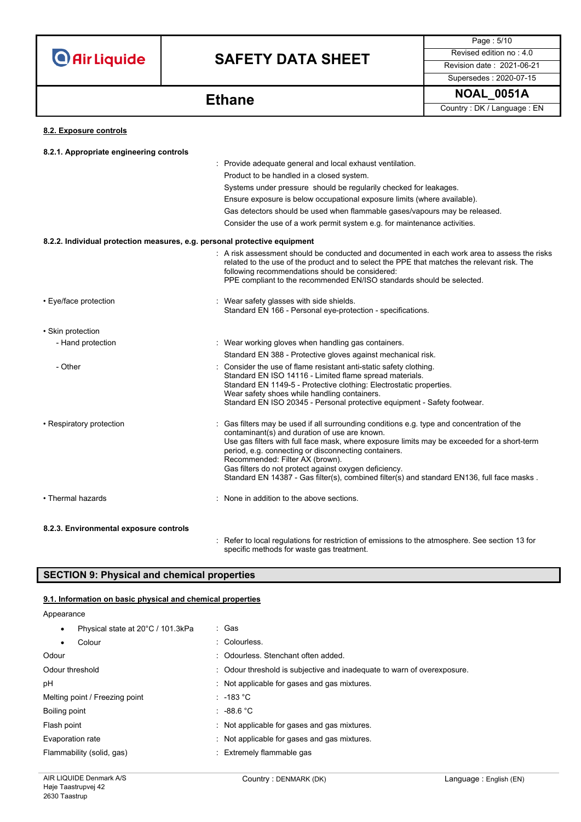# **SAFETY DATA SHEET** Revised edition no : 4.0

Supersedes : 2020-07-15

Page : 5/10

**NOAL\_0051A Ethane** Country : DK / Language : EN

#### **8.2. Exposure controls**

| 8.2.1. Appropriate engineering controls                                   |                                                                                                                                                                                                                                                                                                                                                                                                                                                                                            |
|---------------------------------------------------------------------------|--------------------------------------------------------------------------------------------------------------------------------------------------------------------------------------------------------------------------------------------------------------------------------------------------------------------------------------------------------------------------------------------------------------------------------------------------------------------------------------------|
|                                                                           | : Provide adequate general and local exhaust ventilation.                                                                                                                                                                                                                                                                                                                                                                                                                                  |
|                                                                           | Product to be handled in a closed system.                                                                                                                                                                                                                                                                                                                                                                                                                                                  |
|                                                                           | Systems under pressure should be regularily checked for leakages.                                                                                                                                                                                                                                                                                                                                                                                                                          |
|                                                                           | Ensure exposure is below occupational exposure limits (where available).                                                                                                                                                                                                                                                                                                                                                                                                                   |
|                                                                           | Gas detectors should be used when flammable gases/vapours may be released.                                                                                                                                                                                                                                                                                                                                                                                                                 |
|                                                                           | Consider the use of a work permit system e.g. for maintenance activities.                                                                                                                                                                                                                                                                                                                                                                                                                  |
| 8.2.2. Individual protection measures, e.g. personal protective equipment |                                                                                                                                                                                                                                                                                                                                                                                                                                                                                            |
|                                                                           | : A risk assessment should be conducted and documented in each work area to assess the risks<br>related to the use of the product and to select the PPE that matches the relevant risk. The<br>following recommendations should be considered:<br>PPE compliant to the recommended EN/ISO standards should be selected.                                                                                                                                                                    |
| • Eye/face protection                                                     | : Wear safety glasses with side shields.<br>Standard EN 166 - Personal eye-protection - specifications.                                                                                                                                                                                                                                                                                                                                                                                    |
| • Skin protection                                                         |                                                                                                                                                                                                                                                                                                                                                                                                                                                                                            |
| - Hand protection                                                         | : Wear working gloves when handling gas containers.                                                                                                                                                                                                                                                                                                                                                                                                                                        |
|                                                                           | Standard EN 388 - Protective gloves against mechanical risk.                                                                                                                                                                                                                                                                                                                                                                                                                               |
| - Other                                                                   | Consider the use of flame resistant anti-static safety clothing.<br>Standard EN ISO 14116 - Limited flame spread materials.<br>Standard EN 1149-5 - Protective clothing: Electrostatic properties.<br>Wear safety shoes while handling containers.<br>Standard EN ISO 20345 - Personal protective equipment - Safety footwear.                                                                                                                                                             |
| • Respiratory protection                                                  | Gas filters may be used if all surrounding conditions e.g. type and concentration of the<br>contaminant(s) and duration of use are known.<br>Use gas filters with full face mask, where exposure limits may be exceeded for a short-term<br>period, e.g. connecting or disconnecting containers.<br>Recommended: Filter AX (brown).<br>Gas filters do not protect against oxygen deficiency.<br>Standard EN 14387 - Gas filter(s), combined filter(s) and standard EN136, full face masks. |
| • Thermal hazards                                                         | None in addition to the above sections.                                                                                                                                                                                                                                                                                                                                                                                                                                                    |
| 8.2.3. Environmental exposure controls                                    | . Defer to legal requisions for restriction of emissions to the atmosphere. See section 12 for                                                                                                                                                                                                                                                                                                                                                                                             |

: Refer to local regulations for restriction of emissions to the atmosphere. See section 13 for specific methods for waste gas treatment.

## **SECTION 9: Physical and chemical properties**

#### **9.1. Information on basic physical and chemical properties**

Appearance

| Physical state at 20°C / 101.3kPa<br>$\bullet$ | : Gas                                                                   |
|------------------------------------------------|-------------------------------------------------------------------------|
| Colour<br>$\bullet$                            | : Colourless.                                                           |
| Odour                                          | : Odourless, Stenchant often added.                                     |
| Odour threshold                                | : Odour threshold is subjective and inadequate to warn of overexposure. |
| рH                                             | : Not applicable for gases and gas mixtures.                            |
| Melting point / Freezing point                 | $: -183 °C$                                                             |
| Boiling point                                  | $: -88.6 °C$                                                            |
| Flash point                                    | Not applicable for gases and gas mixtures.                              |
| Evaporation rate                               | : Not applicable for gases and gas mixtures.                            |
| Flammability (solid, gas)                      | : Extremely flammable gas                                               |
|                                                |                                                                         |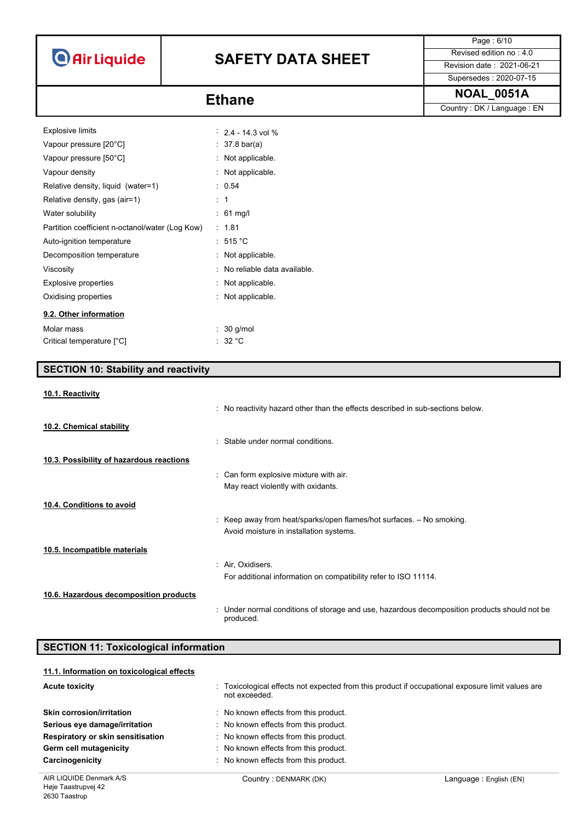# **SAFETY DATA SHEET** Revised edition no : 4.0

Page : 6/10

## Supersedes : 2020-07-15

**NOAL\_0051A** Country : DK / Language : EN

| <b>Explosive limits</b>                         | $2.4 - 14.3$ vol %            |
|-------------------------------------------------|-------------------------------|
| Vapour pressure [20°C]                          | : 37.8 bar(a)                 |
| Vapour pressure [50°C]                          | Not applicable.               |
| Vapour density                                  | Not applicable.               |
| Relative density, liquid (water=1)              | 0.54                          |
| Relative density, gas (air=1)                   | : 1                           |
| Water solubility                                | $: 61 \text{ mg/l}$           |
| Partition coefficient n-octanol/water (Log Kow) | 1.81                          |
| Auto-ignition temperature                       | $:515\degree$ C               |
| Decomposition temperature                       | Not applicable.               |
| Viscosity                                       | : No reliable data available. |
| Explosive properties                            | Not applicable.               |
| Oxidising properties                            | Not applicable.               |
| 9.2. Other information                          |                               |
| Molar mass                                      | $: 30$ g/mol                  |
| Critical temperature [°C]                       | : 32 °C                       |

| <b>SECTION 10: Stability and reactivity</b>  |                                                                                                           |  |
|----------------------------------------------|-----------------------------------------------------------------------------------------------------------|--|
| 10.1. Reactivity                             |                                                                                                           |  |
|                                              | : No reactivity hazard other than the effects described in sub-sections below.                            |  |
| 10.2. Chemical stability                     |                                                                                                           |  |
|                                              | : Stable under normal conditions.                                                                         |  |
| 10.3. Possibility of hazardous reactions     |                                                                                                           |  |
|                                              | : Can form explosive mixture with air.                                                                    |  |
|                                              | May react violently with oxidants.                                                                        |  |
| 10.4. Conditions to avoid                    |                                                                                                           |  |
|                                              | : Keep away from heat/sparks/open flames/hot surfaces. - No smoking.                                      |  |
|                                              | Avoid moisture in installation systems.                                                                   |  |
| 10.5. Incompatible materials                 |                                                                                                           |  |
|                                              | : Air, Oxidisers.                                                                                         |  |
|                                              | For additional information on compatibility refer to ISO 11114.                                           |  |
| 10.6. Hazardous decomposition products       |                                                                                                           |  |
|                                              | : Under normal conditions of storage and use, hazardous decomposition products should not be<br>produced. |  |
| <b>SECTION 11: Toxicological information</b> |                                                                                                           |  |

| 11.1. Information on toxicological effects |                                                                                                                   |                        |
|--------------------------------------------|-------------------------------------------------------------------------------------------------------------------|------------------------|
| <b>Acute toxicity</b>                      | : Toxicological effects not expected from this product if occupational exposure limit values are<br>not exceeded. |                        |
| <b>Skin corrosion/irritation</b>           | : No known effects from this product.                                                                             |                        |
| Serious eye damage/irritation              | : No known effects from this product.                                                                             |                        |
| Respiratory or skin sensitisation          | : No known effects from this product.                                                                             |                        |
| Germ cell mutagenicity                     | : No known effects from this product.                                                                             |                        |
| Carcinogenicity                            | : No known effects from this product.                                                                             |                        |
| AIR LIQUIDE Denmark A/S                    | Country: DENMARK (DK)                                                                                             | Language: English (EN) |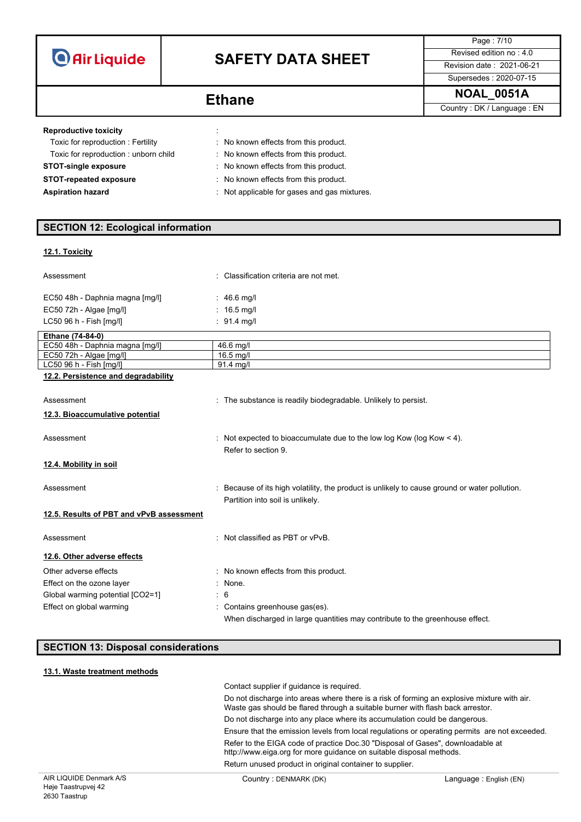# **SAFETY DATA SHEET** Revised edition no : 4.0

Supersedes : 2020-07-15

Page : 7/10

**NOAL\_0051A Ethane** Country : DK / Language : EN

### **Reproductive toxicity in the state of the state of the state of the state of the state of the state of the state of the state of the state of the state of the state of the state of the state of the state of the state of**

| Toxic for reproduction: Fertility    | : No known effects from this product.        |
|--------------------------------------|----------------------------------------------|
| Toxic for reproduction: unborn child | : No known effects from this product.        |
| <b>STOT-single exposure</b>          | No known effects from this product.          |
| <b>STOT-repeated exposure</b>        | : No known effects from this product.        |
| <b>Aspiration hazard</b>             | : Not applicable for gases and gas mixtures. |

### **SECTION 12: Ecological information**

#### **12.1. Toxicity**

| Assessment                               | Classification criteria are not met.                                                                                            |
|------------------------------------------|---------------------------------------------------------------------------------------------------------------------------------|
| EC50 48h - Daphnia magna [mg/l]          | : 46.6 mg/l                                                                                                                     |
| EC50 72h - Algae [mg/l]                  | : $16.5 \text{ mq/l}$                                                                                                           |
| LC50 96 h - Fish [mq/l]                  | : $91.4$ mg/l                                                                                                                   |
| Ethane (74-84-0)                         |                                                                                                                                 |
| EC50 48h - Daphnia magna [mg/l]          | 46.6 mg/l                                                                                                                       |
| EC50 72h - Algae [mg/l]                  | $16.5$ mg/l                                                                                                                     |
| LC50 96 h - Fish [mg/l]                  | 91.4 mg/l                                                                                                                       |
| 12.2. Persistence and degradability      |                                                                                                                                 |
| Assessment                               | : The substance is readily biodegradable. Unlikely to persist.                                                                  |
| 12.3. Bioaccumulative potential          |                                                                                                                                 |
| Assessment                               | Not expected to bioaccumulate due to the low log Kow (log Kow $<$ 4).<br>Refer to section 9.                                    |
| 12.4. Mobility in soil                   |                                                                                                                                 |
| Assessment                               | Because of its high volatility, the product is unlikely to cause ground or water pollution.<br>Partition into soil is unlikely. |
| 12.5. Results of PBT and vPvB assessment |                                                                                                                                 |
| Assessment                               | : Not classified as PBT or vPvB.                                                                                                |
| 12.6. Other adverse effects              |                                                                                                                                 |
| Other adverse effects                    | : No known effects from this product.                                                                                           |
| Effect on the ozone layer                | : None.                                                                                                                         |
| Global warming potential [CO2=1]         | : 6                                                                                                                             |
| Effect on global warming                 | Contains greenhouse gas(es).                                                                                                    |
|                                          | When discharged in large quantities may contribute to the greenhouse effect.                                                    |

### **SECTION 13: Disposal considerations**

### **13.1. Waste treatment methods**

| Contact supplier if guidance is required.                                                                                                                                     |
|-------------------------------------------------------------------------------------------------------------------------------------------------------------------------------|
| Do not discharge into areas where there is a risk of forming an explosive mixture with air.<br>Waste gas should be flared through a suitable burner with flash back arrestor. |
| Do not discharge into any place where its accumulation could be dangerous.                                                                                                    |
| Ensure that the emission levels from local regulations or operating permits are not exceeded.                                                                                 |
| Refer to the EIGA code of practice Doc.30 "Disposal of Gases", downloadable at<br>http://www.eiga.org for more guidance on suitable disposal methods.                         |
| Return unused product in original container to supplier.                                                                                                                      |
|                                                                                                                                                                               |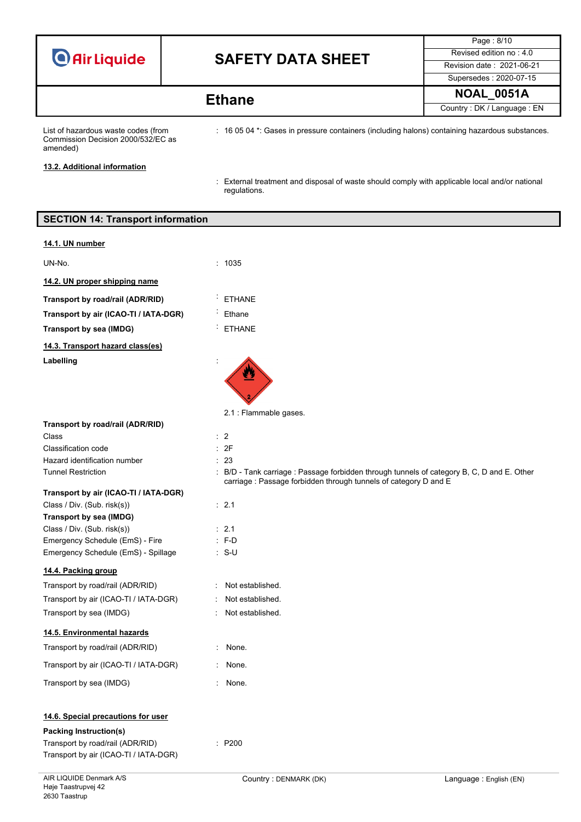| <b>O</b> Air Liquide |  |  |
|----------------------|--|--|

# **SAFETY DATA SHEET** Revised edition no : 4.0

Page : 8/10 Supersedes : 2020-07-15 **NOAL\_0051A Ethane**

Country : DK / Language : EN

List of hazardous waste codes (from Commission Decision 2000/532/EC as amended)

: 16 05 04 \*: Gases in pressure containers (including halons) containing hazardous substances.

**13.2. Additional information**

: External treatment and disposal of waste should comply with applicable local and/or national regulations.

| <b>SECTION 14: Transport information</b>  |                                                                                                                                                                |
|-------------------------------------------|----------------------------------------------------------------------------------------------------------------------------------------------------------------|
| 14.1. UN number                           |                                                                                                                                                                |
| UN-No.                                    | : 1035                                                                                                                                                         |
| 14.2. UN proper shipping name             |                                                                                                                                                                |
| Transport by road/rail (ADR/RID)          | <b>ETHANE</b>                                                                                                                                                  |
| Transport by air (ICAO-TI / IATA-DGR)     | Ethane                                                                                                                                                         |
| <b>Transport by sea (IMDG)</b>            | <b>ETHANE</b>                                                                                                                                                  |
| 14.3. Transport hazard class(es)          |                                                                                                                                                                |
| Labelling                                 |                                                                                                                                                                |
|                                           | 2.1 : Flammable gases.                                                                                                                                         |
| Transport by road/rail (ADR/RID)<br>Class | $\therefore$ 2                                                                                                                                                 |
| Classification code                       | : 2F                                                                                                                                                           |
| Hazard identification number              | : 23                                                                                                                                                           |
| <b>Tunnel Restriction</b>                 | : B/D - Tank carriage : Passage forbidden through tunnels of category B, C, D and E. Other<br>carriage : Passage forbidden through tunnels of category D and E |
| Transport by air (ICAO-TI / IATA-DGR)     |                                                                                                                                                                |
| Class / Div. (Sub. risk(s))               | : 2.1                                                                                                                                                          |
| Transport by sea (IMDG)                   |                                                                                                                                                                |
| Class / Div. (Sub. risk(s))               | : 2.1                                                                                                                                                          |
| Emergency Schedule (EmS) - Fire           | $: F-D$                                                                                                                                                        |
| Emergency Schedule (EmS) - Spillage       | $: S-U$                                                                                                                                                        |
| 14.4. Packing group                       |                                                                                                                                                                |
| Transport by road/rail (ADR/RID)          | Not established.                                                                                                                                               |
| Transport by air (ICAO-TI / IATA-DGR)     | Not established.                                                                                                                                               |
| Transport by sea (IMDG)                   | Not established.                                                                                                                                               |
| 14.5. Environmental hazards               |                                                                                                                                                                |
| Transport by road/rail (ADR/RID)          | : None.                                                                                                                                                        |
| Transport by air (ICAO-TI / IATA-DGR)     | None.<br>÷.                                                                                                                                                    |
| Transport by sea (IMDG)                   | None.<br>t.                                                                                                                                                    |
| 14.6. Special precautions for user        |                                                                                                                                                                |
| <b>Packing Instruction(s)</b>             |                                                                                                                                                                |
| Transport by road/rail (ADR/RID)          | : P200                                                                                                                                                         |

Transport by air (ICAO-TI / IATA-DGR)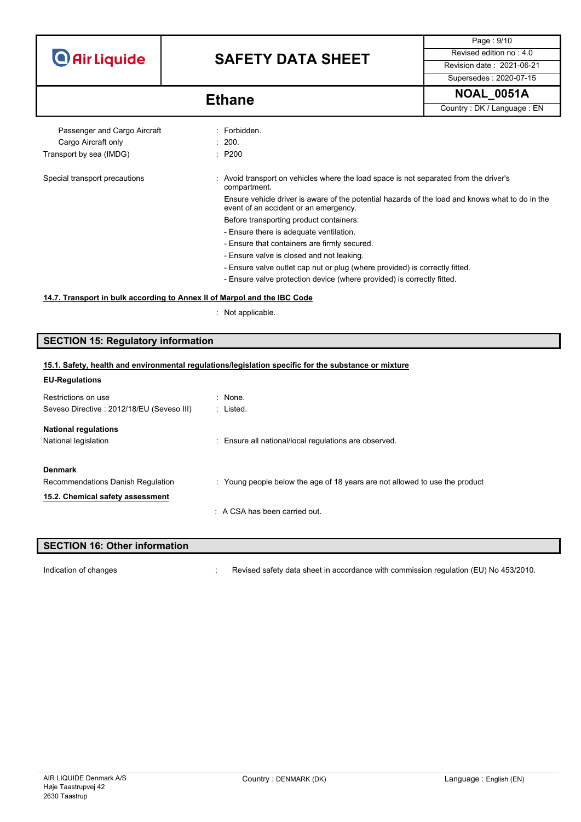## **SAFETY DATA SHEET** Revised edition no : 4.0

Supersedes : 2020-07-15

Page : 9/10

**NOAL\_0051A Ethane**

Country : DK / Language : EN

Passenger and Cargo Aircraft : Forbidden. Cargo Aircraft only **Example 200.** 200. Transport by sea (IMDG) **in the seam of the STAN** : P200

Special transport precautions : Avoid transport on vehicles where the load space is not separated from the driver's compartment.

> Ensure vehicle driver is aware of the potential hazards of the load and knows what to do in the event of an accident or an emergency.

- Before transporting product containers:
- Ensure there is adequate ventilation.
- Ensure that containers are firmly secured.
- Ensure valve is closed and not leaking.
- Ensure valve outlet cap nut or plug (where provided) is correctly fitted.
- Ensure valve protection device (where provided) is correctly fitted.

#### **14.7. Transport in bulk according to Annex II of Marpol and the IBC Code**

: Not applicable.

### **SECTION 15: Regulatory information**

#### **15.1. Safety, health and environmental regulations/legislation specific for the substance or mixture**

| <b>EU-Regulations</b>                     |                                                                             |
|-------------------------------------------|-----------------------------------------------------------------------------|
| Restrictions on use                       | : None.                                                                     |
| Seveso Directive: 2012/18/EU (Seveso III) | : Listed.                                                                   |
| <b>National regulations</b>               |                                                                             |
| National legislation                      | : Ensure all national/local regulations are observed.                       |
| <b>Denmark</b>                            |                                                                             |
| Recommendations Danish Regulation         | : Young people below the age of 18 years are not allowed to use the product |
| 15.2. Chemical safety assessment          |                                                                             |
|                                           | $\therefore$ A CSA has been carried out.                                    |
|                                           |                                                                             |

## **SECTION 16: Other information** Indication of changes **included in the Changes** : Revised safety data sheet in accordance with commission regulation (EU) No 453/2010.